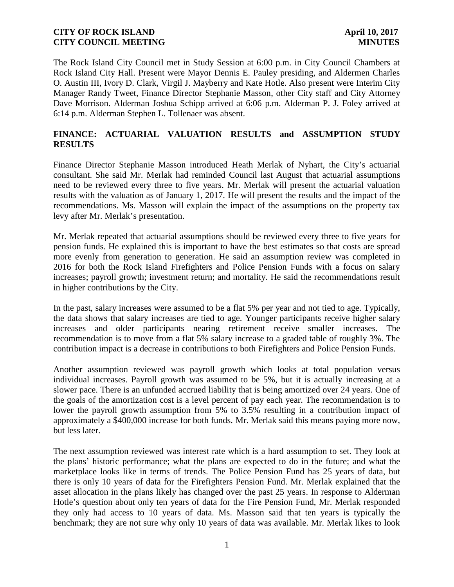The Rock Island City Council met in Study Session at 6:00 p.m. in City Council Chambers at Rock Island City Hall. Present were Mayor Dennis E. Pauley presiding, and Aldermen Charles O. Austin III, Ivory D. Clark, Virgil J. Mayberry and Kate Hotle. Also present were Interim City Manager Randy Tweet, Finance Director Stephanie Masson, other City staff and City Attorney Dave Morrison. Alderman Joshua Schipp arrived at 6:06 p.m. Alderman P. J. Foley arrived at 6:14 p.m. Alderman Stephen L. Tollenaer was absent.

# **FINANCE: ACTUARIAL VALUATION RESULTS and ASSUMPTION STUDY RESULTS**

Finance Director Stephanie Masson introduced Heath Merlak of Nyhart, the City's actuarial consultant. She said Mr. Merlak had reminded Council last August that actuarial assumptions need to be reviewed every three to five years. Mr. Merlak will present the actuarial valuation results with the valuation as of January 1, 2017. He will present the results and the impact of the recommendations. Ms. Masson will explain the impact of the assumptions on the property tax levy after Mr. Merlak's presentation.

Mr. Merlak repeated that actuarial assumptions should be reviewed every three to five years for pension funds. He explained this is important to have the best estimates so that costs are spread more evenly from generation to generation. He said an assumption review was completed in 2016 for both the Rock Island Firefighters and Police Pension Funds with a focus on salary increases; payroll growth; investment return; and mortality. He said the recommendations result in higher contributions by the City.

In the past, salary increases were assumed to be a flat 5% per year and not tied to age. Typically, the data shows that salary increases are tied to age. Younger participants receive higher salary increases and older participants nearing retirement receive smaller increases. The recommendation is to move from a flat 5% salary increase to a graded table of roughly 3%. The contribution impact is a decrease in contributions to both Firefighters and Police Pension Funds.

Another assumption reviewed was payroll growth which looks at total population versus individual increases. Payroll growth was assumed to be 5%, but it is actually increasing at a slower pace. There is an unfunded accrued liability that is being amortized over 24 years. One of the goals of the amortization cost is a level percent of pay each year. The recommendation is to lower the payroll growth assumption from 5% to 3.5% resulting in a contribution impact of approximately a \$400,000 increase for both funds. Mr. Merlak said this means paying more now, but less later.

The next assumption reviewed was interest rate which is a hard assumption to set. They look at the plans' historic performance; what the plans are expected to do in the future; and what the marketplace looks like in terms of trends. The Police Pension Fund has 25 years of data, but there is only 10 years of data for the Firefighters Pension Fund. Mr. Merlak explained that the asset allocation in the plans likely has changed over the past 25 years. In response to Alderman Hotle's question about only ten years of data for the Fire Pension Fund, Mr. Merlak responded they only had access to 10 years of data. Ms. Masson said that ten years is typically the benchmark; they are not sure why only 10 years of data was available. Mr. Merlak likes to look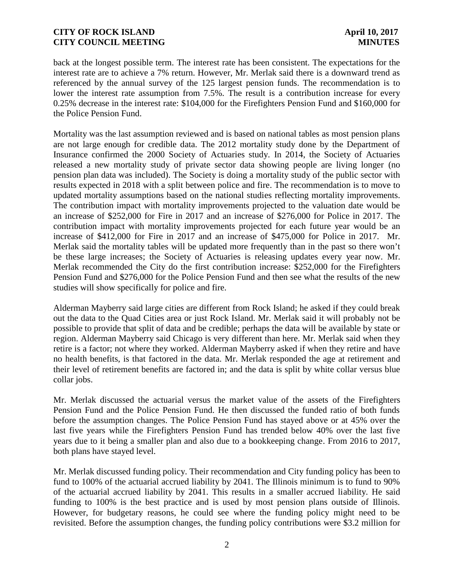back at the longest possible term. The interest rate has been consistent. The expectations for the interest rate are to achieve a 7% return. However, Mr. Merlak said there is a downward trend as referenced by the annual survey of the 125 largest pension funds. The recommendation is to lower the interest rate assumption from 7.5%. The result is a contribution increase for every 0.25% decrease in the interest rate: \$104,000 for the Firefighters Pension Fund and \$160,000 for the Police Pension Fund.

Mortality was the last assumption reviewed and is based on national tables as most pension plans are not large enough for credible data. The 2012 mortality study done by the Department of Insurance confirmed the 2000 Society of Actuaries study. In 2014, the Society of Actuaries released a new mortality study of private sector data showing people are living longer (no pension plan data was included). The Society is doing a mortality study of the public sector with results expected in 2018 with a split between police and fire. The recommendation is to move to updated mortality assumptions based on the national studies reflecting mortality improvements. The contribution impact with mortality improvements projected to the valuation date would be an increase of \$252,000 for Fire in 2017 and an increase of \$276,000 for Police in 2017. The contribution impact with mortality improvements projected for each future year would be an increase of \$412,000 for Fire in 2017 and an increase of \$475,000 for Police in 2017. Mr. Merlak said the mortality tables will be updated more frequently than in the past so there won't be these large increases; the Society of Actuaries is releasing updates every year now. Mr. Merlak recommended the City do the first contribution increase: \$252,000 for the Firefighters Pension Fund and \$276,000 for the Police Pension Fund and then see what the results of the new studies will show specifically for police and fire.

Alderman Mayberry said large cities are different from Rock Island; he asked if they could break out the data to the Quad Cities area or just Rock Island. Mr. Merlak said it will probably not be possible to provide that split of data and be credible; perhaps the data will be available by state or region. Alderman Mayberry said Chicago is very different than here. Mr. Merlak said when they retire is a factor; not where they worked. Alderman Mayberry asked if when they retire and have no health benefits, is that factored in the data. Mr. Merlak responded the age at retirement and their level of retirement benefits are factored in; and the data is split by white collar versus blue collar jobs.

Mr. Merlak discussed the actuarial versus the market value of the assets of the Firefighters Pension Fund and the Police Pension Fund. He then discussed the funded ratio of both funds before the assumption changes. The Police Pension Fund has stayed above or at 45% over the last five years while the Firefighters Pension Fund has trended below 40% over the last five years due to it being a smaller plan and also due to a bookkeeping change. From 2016 to 2017, both plans have stayed level.

Mr. Merlak discussed funding policy. Their recommendation and City funding policy has been to fund to 100% of the actuarial accrued liability by 2041. The Illinois minimum is to fund to 90% of the actuarial accrued liability by 2041. This results in a smaller accrued liability. He said funding to 100% is the best practice and is used by most pension plans outside of Illinois. However, for budgetary reasons, he could see where the funding policy might need to be revisited. Before the assumption changes, the funding policy contributions were \$3.2 million for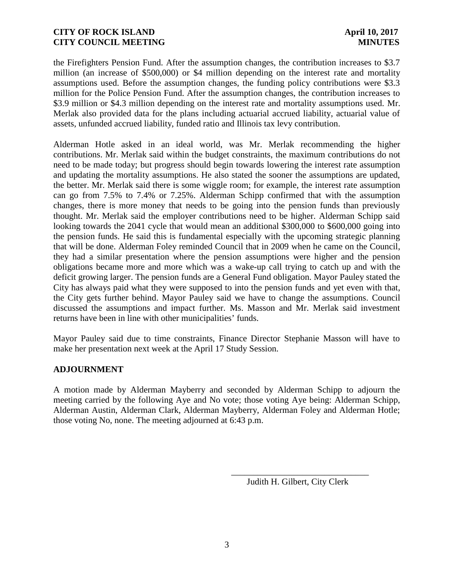the Firefighters Pension Fund. After the assumption changes, the contribution increases to \$3.7 million (an increase of \$500,000) or \$4 million depending on the interest rate and mortality assumptions used. Before the assumption changes, the funding policy contributions were \$3.3 million for the Police Pension Fund. After the assumption changes, the contribution increases to \$3.9 million or \$4.3 million depending on the interest rate and mortality assumptions used. Mr. Merlak also provided data for the plans including actuarial accrued liability, actuarial value of assets, unfunded accrued liability, funded ratio and Illinois tax levy contribution.

Alderman Hotle asked in an ideal world, was Mr. Merlak recommending the higher contributions. Mr. Merlak said within the budget constraints, the maximum contributions do not need to be made today; but progress should begin towards lowering the interest rate assumption and updating the mortality assumptions. He also stated the sooner the assumptions are updated, the better. Mr. Merlak said there is some wiggle room; for example, the interest rate assumption can go from 7.5% to 7.4% or 7.25%. Alderman Schipp confirmed that with the assumption changes, there is more money that needs to be going into the pension funds than previously thought. Mr. Merlak said the employer contributions need to be higher. Alderman Schipp said looking towards the 2041 cycle that would mean an additional \$300,000 to \$600,000 going into the pension funds. He said this is fundamental especially with the upcoming strategic planning that will be done. Alderman Foley reminded Council that in 2009 when he came on the Council, they had a similar presentation where the pension assumptions were higher and the pension obligations became more and more which was a wake-up call trying to catch up and with the deficit growing larger. The pension funds are a General Fund obligation. Mayor Pauley stated the City has always paid what they were supposed to into the pension funds and yet even with that, the City gets further behind. Mayor Pauley said we have to change the assumptions. Council discussed the assumptions and impact further. Ms. Masson and Mr. Merlak said investment returns have been in line with other municipalities' funds.

Mayor Pauley said due to time constraints, Finance Director Stephanie Masson will have to make her presentation next week at the April 17 Study Session.

### **ADJOURNMENT**

A motion made by Alderman Mayberry and seconded by Alderman Schipp to adjourn the meeting carried by the following Aye and No vote; those voting Aye being: Alderman Schipp, Alderman Austin, Alderman Clark, Alderman Mayberry, Alderman Foley and Alderman Hotle; those voting No, none. The meeting adjourned at 6:43 p.m.

Judith H. Gilbert, City Clerk

\_\_\_\_\_\_\_\_\_\_\_\_\_\_\_\_\_\_\_\_\_\_\_\_\_\_\_\_\_\_\_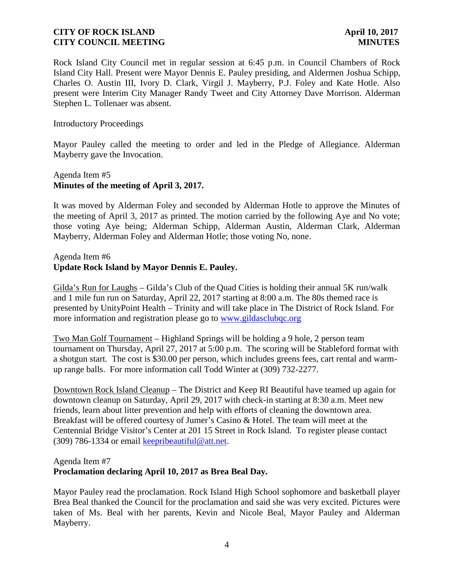Rock Island City Council met in regular session at 6:45 p.m. in Council Chambers of Rock Island City Hall. Present were Mayor Dennis E. Pauley presiding, and Aldermen Joshua Schipp, Charles O. Austin III, Ivory D. Clark, Virgil J. Mayberry, P.J. Foley and Kate Hotle. Also present were Interim City Manager Randy Tweet and City Attorney Dave Morrison. Alderman Stephen L. Tollenaer was absent.

#### Introductory Proceedings

Mayor Pauley called the meeting to order and led in the Pledge of Allegiance. Alderman Mayberry gave the Invocation.

## Agenda Item #5 **Minutes of the meeting of April 3, 2017.**

It was moved by Alderman Foley and seconded by Alderman Hotle to approve the Minutes of the meeting of April 3, 2017 as printed. The motion carried by the following Aye and No vote; those voting Aye being; Alderman Schipp, Alderman Austin, Alderman Clark, Alderman Mayberry, Alderman Foley and Alderman Hotle; those voting No, none.

### Agenda Item #6 **Update Rock Island by Mayor Dennis E. Pauley.**

Gilda's Run for Laughs – Gilda's Club of the Quad Cities is holding their annual 5K run/walk and 1 mile fun run on Saturday, April 22, 2017 starting at 8:00 a.m. The 80s themed race is presented by UnityPoint Health – Trinity and will take place in The District of Rock Island. For more information and registration please go to www.gildasclubqc.org

Two Man Golf Tournament – Highland Springs will be holding a 9 hole, 2 person team tournament on Thursday, April 27, 2017 at 5:00 p.m. The scoring will be Stableford format with a shotgun start. The cost is \$30.00 per person, which includes greens fees, cart rental and warm up range balls. For more information call Todd Winter at (309) 732-2277.

Downtown Rock Island Cleanup – The District and Keep RI Beautiful have teamed up again for downtown cleanup on Saturday, April 29, 2017 with check-in starting at 8:30 a.m. Meet new friends, learn about litter prevention and help with efforts of cleaning the downtown area. Breakfast will be offered courtesy of Jumer's Casino & Hotel. The team will meet at the Centennial Bridge Visitor's Center at 201 15 Street in Rock Island. To register please contact (309) 786-1334 or email keepribeautiful@att.net.

#### Agenda Item #7

### **Proclamation declaring April 10, 2017 as Brea Beal Day.**

Mayor Pauley read the proclamation. Rock Island High School sophomore and basketball player Brea Beal thanked the Council for the proclamation and said she was very excited. Pictures were taken of Ms. Beal with her parents, Kevin and Nicole Beal, Mayor Pauley and Alderman Mayberry.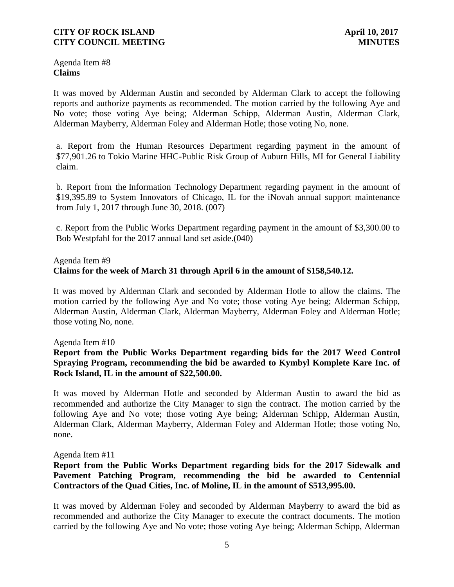Agenda Item #8 **Claims**

It was moved by Alderman Austin and seconded by Alderman Clark to accept the following reports and authorize payments as recommended. The motion carried by the following Aye and No vote; those voting Aye being; Alderman Schipp, Alderman Austin, Alderman Clark, Alderman Mayberry, Alderman Foley and Alderman Hotle; those voting No, none.

a. Report from the Human Resources Department regarding payment in the amount of \$77,901.26 to Tokio Marine HHC-Public Risk Group of Auburn Hills, MI for General Liability claim.

b. Report from the Information Technology Department regarding payment in the amount of \$19,395.89 to System Innovators of Chicago, IL for the iNovah annual support maintenance from July 1, 2017 through June 30, 2018. (007)

c. Report from the Public Works Department regarding payment in the amount of \$3,300.00 to Bob Westpfahl for the 2017 annual land set aside.(040)

### Agenda Item #9 **Claims for the week of March 31 through April 6 in the amount of \$158,540.12.**

It was moved by Alderman Clark and seconded by Alderman Hotle to allow the claims. The motion carried by the following Aye and No vote; those voting Aye being; Alderman Schipp, Alderman Austin, Alderman Clark, Alderman Mayberry, Alderman Foley and Alderman Hotle; those voting No, none.

### Agenda Item #10

### **Report from the Public Works Department regarding bids for the 2017 Weed Control Spraying Program, recommending the bid be awarded to Kymbyl Komplete Kare Inc. of Rock Island, IL in the amount of \$22,500.00.**

It was moved by Alderman Hotle and seconded by Alderman Austin to award the bid as recommended and authorize the City Manager to sign the contract. The motion carried by the following Aye and No vote; those voting Aye being; Alderman Schipp, Alderman Austin, Alderman Clark, Alderman Mayberry, Alderman Foley and Alderman Hotle; those voting No, none.

Agenda Item #11

# **Report from the Public Works Department regarding bids for the 2017 Sidewalk and Pavement Patching Program, recommending the bid be awarded to Centennial Contractors of the Quad Cities, Inc. of Moline, IL in the amount of \$513,995.00.**

It was moved by Alderman Foley and seconded by Alderman Mayberry to award the bid as recommended and authorize the City Manager to execute the contract documents. The motion carried by the following Aye and No vote; those voting Aye being; Alderman Schipp, Alderman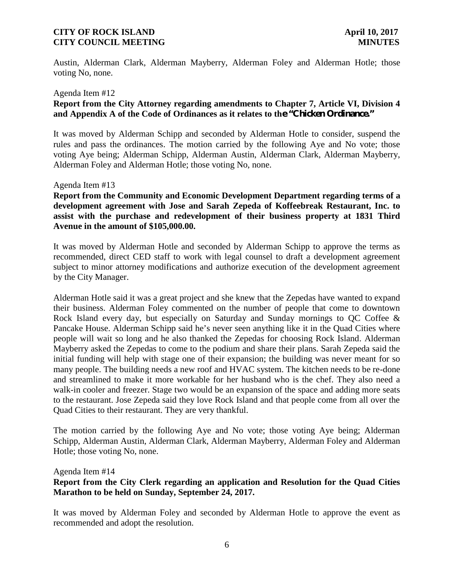Austin, Alderman Clark, Alderman Mayberry, Alderman Foley and Alderman Hotle; those voting No, none.

#### Agenda Item #12

### **Report from the City Attorney regarding amendments to Chapter 7, Article VI, Division 4 and Appendix A of the Code of Ordinances as it relates to the "Chicken Ordinance."**

It was moved by Alderman Schipp and seconded by Alderman Hotle to consider, suspend the rules and pass the ordinances. The motion carried by the following Aye and No vote; those voting Aye being; Alderman Schipp, Alderman Austin, Alderman Clark, Alderman Mayberry, Alderman Foley and Alderman Hotle; those voting No, none.

#### Agenda Item #13

**Report from the Community and Economic Development Department regarding terms of a development agreement with Jose and Sarah Zepeda of Koffeebreak Restaurant, Inc. to assist with the purchase and redevelopment of their business property at 1831 Third Avenue in the amount of \$105,000.00.**

It was moved by Alderman Hotle and seconded by Alderman Schipp to approve the terms as recommended, direct CED staff to work with legal counsel to draft a development agreement subject to minor attorney modifications and authorize execution of the development agreement by the City Manager.

Alderman Hotle said it was a great project and she knew that the Zepedas have wanted to expand their business. Alderman Foley commented on the number of people that come to downtown Rock Island every day, but especially on Saturday and Sunday mornings to QC Coffee & Pancake House. Alderman Schipp said he's never seen anything like it in the Quad Cities where people will wait so long and he also thanked the Zepedas for choosing Rock Island. Alderman Mayberry asked the Zepedas to come to the podium and share their plans. Sarah Zepeda said the initial funding will help with stage one of their expansion; the building was never meant for so many people. The building needs a new roof and HVAC system. The kitchen needs to be re-done and streamlined to make it more workable for her husband who is the chef. They also need a walk-in cooler and freezer. Stage two would be an expansion of the space and adding more seats to the restaurant. Jose Zepeda said they love Rock Island and that people come from all over the Quad Cities to their restaurant. They are very thankful.

The motion carried by the following Aye and No vote; those voting Aye being; Alderman Schipp, Alderman Austin, Alderman Clark, Alderman Mayberry, Alderman Foley and Alderman Hotle; those voting No, none.

Agenda Item #14

### **Report from the City Clerk regarding an application and Resolution for the Quad Cities Marathon to be held on Sunday, September 24, 2017.**

It was moved by Alderman Foley and seconded by Alderman Hotle to approve the event as recommended and adopt the resolution.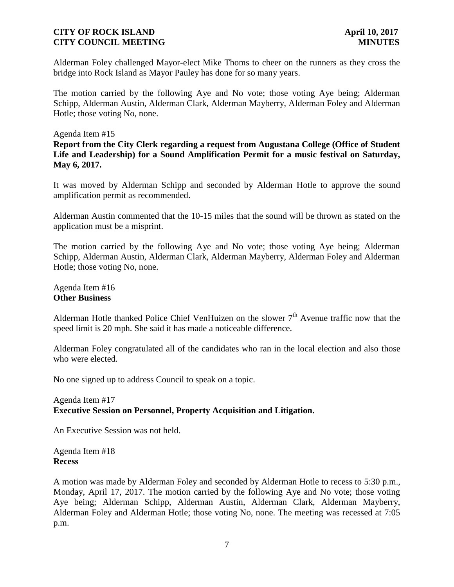Alderman Foley challenged Mayor-elect Mike Thoms to cheer on the runners as they cross the bridge into Rock Island as Mayor Pauley has done for so many years.

The motion carried by the following Aye and No vote; those voting Aye being; Alderman Schipp, Alderman Austin, Alderman Clark, Alderman Mayberry, Alderman Foley and Alderman Hotle; those voting No, none.

#### Agenda Item #15

**Report from the City Clerk regarding a request from Augustana College (Office of Student Life and Leadership) for a Sound Amplification Permit for a music festival on Saturday, May 6, 2017.**

It was moved by Alderman Schipp and seconded by Alderman Hotle to approve the sound amplification permit as recommended.

Alderman Austin commented that the 10-15 miles that the sound will be thrown as stated on the application must be a misprint.

The motion carried by the following Aye and No vote; those voting Aye being; Alderman Schipp, Alderman Austin, Alderman Clark, Alderman Mayberry, Alderman Foley and Alderman Hotle; those voting No, none.

Agenda Item #16 **Other Business**

Alderman Hotle thanked Police Chief VenHuizen on the slower  $7<sup>th</sup>$  Avenue traffic now that the speed limit is 20 mph. She said it has made a noticeable difference.

Alderman Foley congratulated all of the candidates who ran in the local election and also those who were elected.

No one signed up to address Council to speak on a topic.

### Agenda Item #17 **Executive Session on Personnel, Property Acquisition and Litigation.**

An Executive Session was not held.

Agenda Item #18 **Recess**

A motion was made by Alderman Foley and seconded by Alderman Hotle to recess to 5:30 p.m., Monday, April 17, 2017. The motion carried by the following Aye and No vote; those voting Aye being; Alderman Schipp, Alderman Austin, Alderman Clark, Alderman Mayberry, Alderman Foley and Alderman Hotle; those voting No, none. The meeting was recessed at 7:05 p.m.